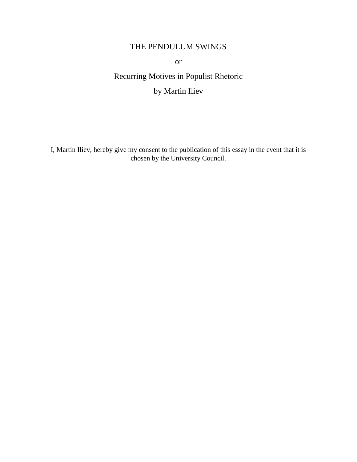## THE PENDULUM SWINGS

or

Recurring Motives in Populist Rhetoric by Martin Iliev

I, Martin Iliev, hereby give my consent to the publication of this essay in the event that it is chosen by the University Council.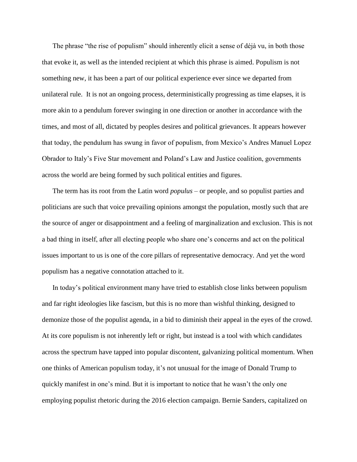The phrase "the rise of populism" should inherently elicit a sense of déjà vu, in both those that evoke it, as well as the intended recipient at which this phrase is aimed. Populism is not something new, it has been a part of our political experience ever since we departed from unilateral rule. It is not an ongoing process, deterministically progressing as time elapses, it is more akin to a pendulum forever swinging in one direction or another in accordance with the times, and most of all, dictated by peoples desires and political grievances. It appears however that today, the pendulum has swung in favor of populism, from Mexico's Andres Manuel Lopez Obrador to Italy's Five Star movement and Poland's Law and Justice coalition, governments across the world are being formed by such political entities and figures.

 The term has its root from the Latin word *populus* – or people, and so populist parties and politicians are such that voice prevailing opinions amongst the population, mostly such that are the source of anger or disappointment and a feeling of marginalization and exclusion. This is not a bad thing in itself, after all electing people who share one's concerns and act on the political issues important to us is one of the core pillars of representative democracy. And yet the word populism has a negative connotation attached to it.

 In today's political environment many have tried to establish close links between populism and far right ideologies like fascism, but this is no more than wishful thinking, designed to demonize those of the populist agenda, in a bid to diminish their appeal in the eyes of the crowd. At its core populism is not inherently left or right, but instead is a tool with which candidates across the spectrum have tapped into popular discontent, galvanizing political momentum. When one thinks of American populism today, it's not unusual for the image of Donald Trump to quickly manifest in one's mind. But it is important to notice that he wasn't the only one employing populist rhetoric during the 2016 election campaign. Bernie Sanders, capitalized on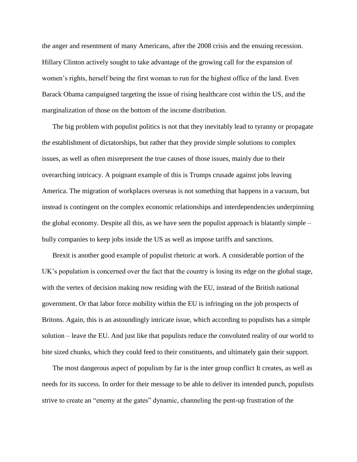the anger and resentment of many Americans, after the 2008 crisis and the ensuing recession. Hillary Clinton actively sought to take advantage of the growing call for the expansion of women's rights, herself being the first woman to run for the highest office of the land. Even Barack Obama campaigned targeting the issue of rising healthcare cost within the US, and the marginalization of those on the bottom of the income distribution.

 The big problem with populist politics is not that they inevitably lead to tyranny or propagate the establishment of dictatorships, but rather that they provide simple solutions to complex issues, as well as often misrepresent the true causes of those issues, mainly due to their overarching intricacy. A poignant example of this is Trumps crusade against jobs leaving America. The migration of workplaces overseas is not something that happens in a vacuum, but instead is contingent on the complex economic relationships and interdependencies underpinning the global economy. Despite all this, as we have seen the populist approach is blatantly simple – bully companies to keep jobs inside the US as well as impose tariffs and sanctions.

 Brexit is another good example of populist rhetoric at work. A considerable portion of the UK's population is concerned over the fact that the country is losing its edge on the global stage, with the vertex of decision making now residing with the EU, instead of the British national government. Or that labor force mobility within the EU is infringing on the job prospects of Britons. Again, this is an astoundingly intricate issue, which according to populists has a simple solution – leave the EU. And just like that populists reduce the convoluted reality of our world to bite sized chunks, which they could feed to their constituents, and ultimately gain their support.

 The most dangerous aspect of populism by far is the inter group conflict It creates, as well as needs for its success. In order for their message to be able to deliver its intended punch, populists strive to create an "enemy at the gates" dynamic, channeling the pent-up frustration of the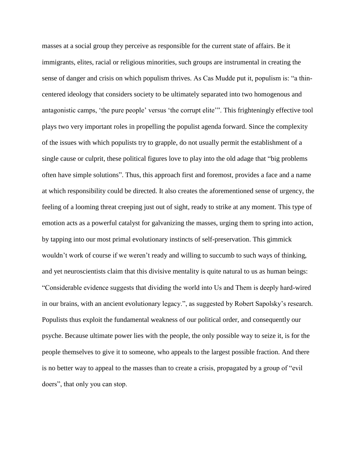masses at a social group they perceive as responsible for the current state of affairs. Be it immigrants, elites, racial or religious minorities, such groups are instrumental in creating the sense of danger and crisis on which populism thrives. As Cas Mudde put it, populism is: "a thincentered ideology that considers society to be ultimately separated into two homogenous and antagonistic camps, 'the pure people' versus 'the corrupt elite'". This frighteningly effective tool plays two very important roles in propelling the populist agenda forward. Since the complexity of the issues with which populists try to grapple, do not usually permit the establishment of a single cause or culprit, these political figures love to play into the old adage that "big problems often have simple solutions". Thus, this approach first and foremost, provides a face and a name at which responsibility could be directed. It also creates the aforementioned sense of urgency, the feeling of a looming threat creeping just out of sight, ready to strike at any moment. This type of emotion acts as a powerful catalyst for galvanizing the masses, urging them to spring into action, by tapping into our most primal evolutionary instincts of self-preservation. This gimmick wouldn't work of course if we weren't ready and willing to succumb to such ways of thinking, and yet neuroscientists claim that this divisive mentality is quite natural to us as human beings: "Considerable evidence suggests that dividing the world into Us and Them is deeply hard-wired in our brains, with an ancient evolutionary legacy.", as suggested by Robert Sapolsky's research. Populists thus exploit the fundamental weakness of our political order, and consequently our psyche. Because ultimate power lies with the people, the only possible way to seize it, is for the people themselves to give it to someone, who appeals to the largest possible fraction. And there is no better way to appeal to the masses than to create a crisis, propagated by a group of "evil doers", that only you can stop.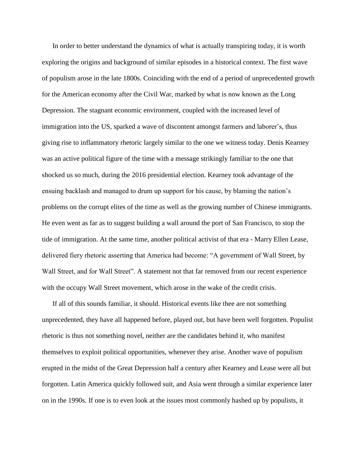In order to better understand the dynamics of what is actually transpiring today, it is worth exploring the origins and background of similar episodes in a historical context. The first wave of populism arose in the late 1800s. Coinciding with the end of a period of unprecedented growth for the American economy after the Civil War, marked by what is now known as the Long Depression. The stagnant economic environment, coupled with the increased level of immigration into the US, sparked a wave of discontent amongst farmers and laborer's, thus giving rise to inflammatory rhetoric largely similar to the one we witness today. Denis Kearney was an active political figure of the time with a message strikingly familiar to the one that shocked us so much, during the 2016 presidential election. Kearney took advantage of the ensuing backlash and managed to drum up support for his cause, by blaming the nation's problems on the corrupt elites of the time as well as the growing number of Chinese immigrants. He even went as far as to suggest building a wall around the port of San Francisco, to stop the tide of immigration. At the same time, another political activist of that era - Marry Ellen Lease, delivered fiery rhetoric asserting that America had become: "A government of Wall Street, by Wall Street, and for Wall Street". A statement not that far removed from our recent experience with the occupy Wall Street movement, which arose in the wake of the credit crisis.

 If all of this sounds familiar, it should. Historical events like thee are not something unprecedented, they have all happened before, played out, but have been well forgotten. Populist rhetoric is thus not something novel, neither are the candidates behind it, who manifest themselves to exploit political opportunities, whenever they arise. Another wave of populism erupted in the midst of the Great Depression half a century after Kearney and Lease were all but forgotten. Latin America quickly followed suit, and Asia went through a similar experience later on in the 1990s. If one is to even look at the issues most commonly hashed up by populists, it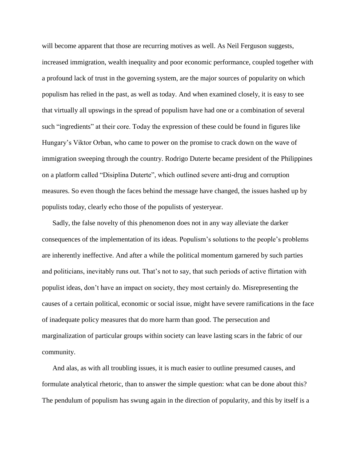will become apparent that those are recurring motives as well. As Neil Ferguson suggests, increased immigration, wealth inequality and poor economic performance, coupled together with a profound lack of trust in the governing system, are the major sources of popularity on which populism has relied in the past, as well as today. And when examined closely, it is easy to see that virtually all upswings in the spread of populism have had one or a combination of several such "ingredients" at their core. Today the expression of these could be found in figures like Hungary's Viktor Orban, who came to power on the promise to crack down on the wave of immigration sweeping through the country. Rodrigo Duterte became president of the Philippines on a platform called "Disiplina Duterte", which outlined severe anti-drug and corruption measures. So even though the faces behind the message have changed, the issues hashed up by populists today, clearly echo those of the populists of yesteryear.

 Sadly, the false novelty of this phenomenon does not in any way alleviate the darker consequences of the implementation of its ideas. Populism's solutions to the people's problems are inherently ineffective. And after a while the political momentum garnered by such parties and politicians, inevitably runs out. That's not to say, that such periods of active flirtation with populist ideas, don't have an impact on society, they most certainly do. Misrepresenting the causes of a certain political, economic or social issue, might have severe ramifications in the face of inadequate policy measures that do more harm than good. The persecution and marginalization of particular groups within society can leave lasting scars in the fabric of our community.

 And alas, as with all troubling issues, it is much easier to outline presumed causes, and formulate analytical rhetoric, than to answer the simple question: what can be done about this? The pendulum of populism has swung again in the direction of popularity, and this by itself is a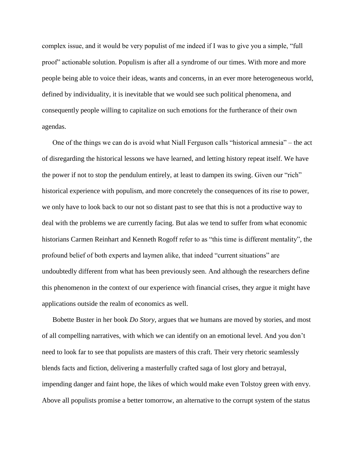complex issue, and it would be very populist of me indeed if I was to give you a simple, "full proof" actionable solution. Populism is after all a syndrome of our times. With more and more people being able to voice their ideas, wants and concerns, in an ever more heterogeneous world, defined by individuality, it is inevitable that we would see such political phenomena, and consequently people willing to capitalize on such emotions for the furtherance of their own agendas.

 One of the things we can do is avoid what Niall Ferguson calls "historical amnesia" – the act of disregarding the historical lessons we have learned, and letting history repeat itself. We have the power if not to stop the pendulum entirely, at least to dampen its swing. Given our "rich" historical experience with populism, and more concretely the consequences of its rise to power, we only have to look back to our not so distant past to see that this is not a productive way to deal with the problems we are currently facing. But alas we tend to suffer from what economic historians Carmen Reinhart and Kenneth Rogoff refer to as "this time is different mentality", the profound belief of both experts and laymen alike, that indeed "current situations" are undoubtedly different from what has been previously seen. And although the researchers define this phenomenon in the context of our experience with financial crises, they argue it might have applications outside the realm of economics as well.

 Bobette Buster in her book *Do Story*, argues that we humans are moved by stories, and most of all compelling narratives, with which we can identify on an emotional level. And you don't need to look far to see that populists are masters of this craft. Their very rhetoric seamlessly blends facts and fiction, delivering a masterfully crafted saga of lost glory and betrayal, impending danger and faint hope, the likes of which would make even Tolstoy green with envy. Above all populists promise a better tomorrow, an alternative to the corrupt system of the status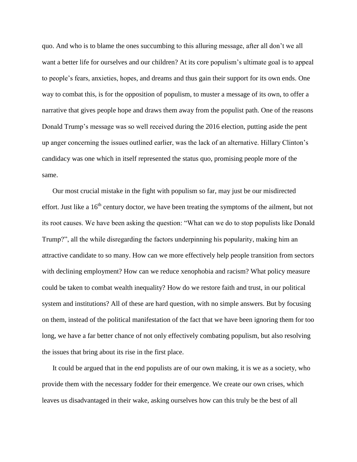quo. And who is to blame the ones succumbing to this alluring message, after all don't we all want a better life for ourselves and our children? At its core populism's ultimate goal is to appeal to people's fears, anxieties, hopes, and dreams and thus gain their support for its own ends. One way to combat this, is for the opposition of populism, to muster a message of its own, to offer a narrative that gives people hope and draws them away from the populist path. One of the reasons Donald Trump's message was so well received during the 2016 election, putting aside the pent up anger concerning the issues outlined earlier, was the lack of an alternative. Hillary Clinton's candidacy was one which in itself represented the status quo, promising people more of the same.

 Our most crucial mistake in the fight with populism so far, may just be our misdirected effort. Just like a 16<sup>th</sup> century doctor, we have been treating the symptoms of the ailment, but not its root causes. We have been asking the question: "What can we do to stop populists like Donald Trump?", all the while disregarding the factors underpinning his popularity, making him an attractive candidate to so many. How can we more effectively help people transition from sectors with declining employment? How can we reduce xenophobia and racism? What policy measure could be taken to combat wealth inequality? How do we restore faith and trust, in our political system and institutions? All of these are hard question, with no simple answers. But by focusing on them, instead of the political manifestation of the fact that we have been ignoring them for too long, we have a far better chance of not only effectively combating populism, but also resolving the issues that bring about its rise in the first place.

 It could be argued that in the end populists are of our own making, it is we as a society, who provide them with the necessary fodder for their emergence. We create our own crises, which leaves us disadvantaged in their wake, asking ourselves how can this truly be the best of all